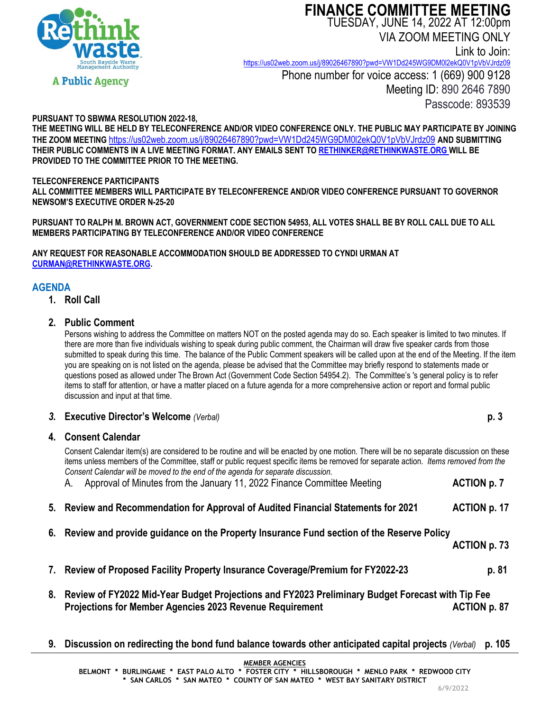

# **FINANCE COMMITTEE MEETING** TUESDAY, JUNE 14, 2022 AT 12:00pm

VIA ZOOM MEETING ONLY

Link to Join:

<https://us02web.zoom.us/j/89026467890?pwd=VW1Dd245WG9DM0l2ekQ0V1pVbVJrdz09> Phone number for voice access: 1 (669) 900 9128 Meeting ID: 890 2646 7890

Passcode: 893539

# **PURSUANT TO SBWMA RESOLUTION 2022-18,**

**THE MEETING WILL BE HELD BY TELECONFERENCE AND/OR VIDEO CONFERENCE ONLY. THE PUBLIC MAY PARTICIPATE BY JOINING THE ZOOM MEETING** <https://us02web.zoom.us/j/89026467890?pwd=VW1Dd245WG9DM0l2ekQ0V1pVbVJrdz09> **AND SUBMITTING THEIR PUBLIC COMMENTS IN A LIVE MEETING FORMAT. ANY EMAILS SENT TO [RETHINKER@RETHINKWASTE.ORG](mailto:rethinker@rethinkwaste.org) WILL BE PROVIDED TO THE COMMITTEE PRIOR TO THE MEETING.**

#### **TELECONFERENCE PARTICIPANTS**

**ALL COMMITTEE MEMBERS WILL PARTICIPATE BY TELECONFERENCE AND/OR VIDEO CONFERENCE PURSUANT TO GOVERNOR NEWSOM'S EXECUTIVE ORDER N-25-20**

**PURSUANT TO RALPH M. BROWN ACT, GOVERNMENT CODE SECTION 54953, ALL VOTES SHALL BE BY ROLL CALL DUE TO ALL MEMBERS PARTICIPATING BY TELECONFERENCE AND/OR VIDEO CONFERENCE**

**ANY REQUEST FOR REASONABLE ACCOMMODATION SHOULD BE ADDRESSED TO CYNDI URMAN AT [CURMAN@RETHINKWASTE.ORG.](mailto:CURMAN@RETHINKWASTE.ORG)** 

# **AGENDA**

**1. Roll Call**

# **2. Public Comment**

Persons wishing to address the Committee on matters NOT on the posted agenda may do so. Each speaker is limited to two minutes. If there are more than five individuals wishing to speak during public comment, the Chairman will draw five speaker cards from those submitted to speak during this time. The balance of the Public Comment speakers will be called upon at the end of the Meeting. If the item you are speaking on is not listed on the agenda, please be advised that the Committee may briefly respond to statements made or questions posed as allowed under The Brown Act (Government Code Section 54954.2). The Committee's 's general policy is to refer items to staff for attention, or have a matter placed on a future agenda for a more comprehensive action or report and formal public discussion and input at that time.

| 3. Executive Director's Welcome (Verbal) |  |
|------------------------------------------|--|
| A. Canacul Colombon                      |  |

# **4. Consent Calendar**

Consent Calendar item(s) are considered to be routine and will be enacted by one motion. There will be no separate discussion on these items unless members of the Committee, staff or public request specific items be removed for separate action. *Items removed from the Consent Calendar will be moved to the end of the agenda for separate discussion*.

| Approval of Minutes from the January 11, 2022 Finance Committee Meeting<br>А.                                                                                          | <b>ACTION p. 7</b> |
|------------------------------------------------------------------------------------------------------------------------------------------------------------------------|--------------------|
| 5. Review and Recommendation for Approval of Audited Financial Statements for 2021                                                                                     | ACTION p. 17       |
| 6. Review and provide guidance on the Property Insurance Fund section of the Reserve Policy                                                                            | ACTION p. 73       |
| 7. Review of Proposed Facility Property Insurance Coverage/Premium for FY2022-23                                                                                       | p. 81              |
| 8. Review of FY2022 Mid-Year Budget Projections and FY2023 Preliminary Budget Forecast with Tip Fee<br><b>Projections for Member Agencies 2023 Revenue Requirement</b> | ACTION p. 87       |

**9. Discussion on redirecting the bond fund balance towards other anticipated capital projects** *(Verbal)* **p. 105**